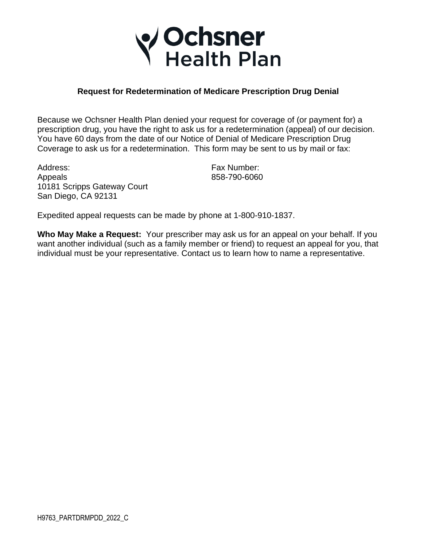

## **Request for Redetermination of Medicare Prescription Drug Denial**

 prescription drug, you have the right to ask us for a redetermination (appeal) of our decision. Coverage to ask us for a redetermination. This form may be sent to us by mail or fax: Because we Ochsner Health Plan denied your request for coverage of (or payment for) a You have 60 days from the date of our Notice of Denial of Medicare Prescription Drug

Address: Fax Number: Appeals 858-790-6060 10181 Scripps Gateway Court San Diego, CA 92131

Expedited appeal requests can be made by phone at 1-800-910-1837.

 **Who May Make a Request:** Your prescriber may ask us for an appeal on your behalf. If you want another individual (such as a family member or friend) to request an appeal for you, that individual must be your representative. Contact us to learn how to name a representative.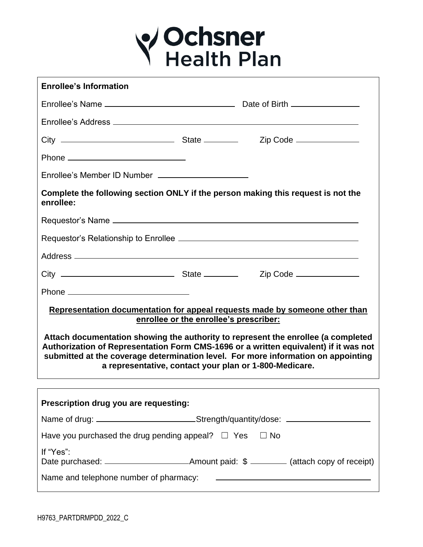

| <b>Enrollee's Information</b>                                                                                                                                                                                                                                                                      |  |  |  |  |  |  |
|----------------------------------------------------------------------------------------------------------------------------------------------------------------------------------------------------------------------------------------------------------------------------------------------------|--|--|--|--|--|--|
|                                                                                                                                                                                                                                                                                                    |  |  |  |  |  |  |
|                                                                                                                                                                                                                                                                                                    |  |  |  |  |  |  |
|                                                                                                                                                                                                                                                                                                    |  |  |  |  |  |  |
|                                                                                                                                                                                                                                                                                                    |  |  |  |  |  |  |
|                                                                                                                                                                                                                                                                                                    |  |  |  |  |  |  |
| Complete the following section ONLY if the person making this request is not the<br>enrollee:                                                                                                                                                                                                      |  |  |  |  |  |  |
|                                                                                                                                                                                                                                                                                                    |  |  |  |  |  |  |
|                                                                                                                                                                                                                                                                                                    |  |  |  |  |  |  |
|                                                                                                                                                                                                                                                                                                    |  |  |  |  |  |  |
|                                                                                                                                                                                                                                                                                                    |  |  |  |  |  |  |
|                                                                                                                                                                                                                                                                                                    |  |  |  |  |  |  |
| Representation documentation for appeal requests made by someone other than<br>enrollee or the enrollee's prescriber:<br>Attach documentation showing the authority to represent the enrollee (a completed<br>Authorization of Representation Form CMS-1696 or a written equivalent) if it was not |  |  |  |  |  |  |
| submitted at the coverage determination level. For more information on appointing<br>a representative, contact your plan or 1-800-Medicare.                                                                                                                                                        |  |  |  |  |  |  |
|                                                                                                                                                                                                                                                                                                    |  |  |  |  |  |  |
| Prescription drug you are requesting:                                                                                                                                                                                                                                                              |  |  |  |  |  |  |
| Name of drug: ___________________________Strength/quantity/dose: _______________                                                                                                                                                                                                                   |  |  |  |  |  |  |
| Have you purchased the drug pending appeal? $\Box$ Yes $\Box$ No                                                                                                                                                                                                                                   |  |  |  |  |  |  |
| If "Yes":                                                                                                                                                                                                                                                                                          |  |  |  |  |  |  |
|                                                                                                                                                                                                                                                                                                    |  |  |  |  |  |  |